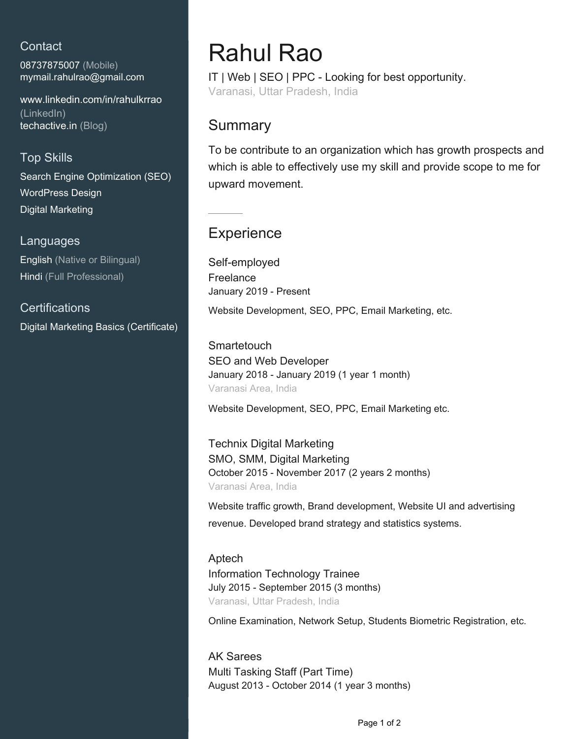### **Contact**

08737875007 (Mobile) [mymail.rahulrao@gmail.com](mailto:mymail.rahulrao@gmail.com)

[www.linkedin.com/in/rahulkrrao](https://www.linkedin.com/in/rahulkrrao?jobid=1234&lipi=urn%3Ali%3Apage%3Ad_jobs_easyapply_pdfgenresume%3BtoGzIylXTnW0Mv7mjqus%2Bg%3D%3D&licu=urn%3Ali%3Acontrol%3Ad_jobs_easyapply_pdfgenresume-v02_profile) [\(LinkedIn\)](https://www.linkedin.com/in/rahulkrrao?jobid=1234&lipi=urn%3Ali%3Apage%3Ad_jobs_easyapply_pdfgenresume%3BtoGzIylXTnW0Mv7mjqus%2Bg%3D%3D&licu=urn%3Ali%3Acontrol%3Ad_jobs_easyapply_pdfgenresume-v02_profile) [techactive.in \(Blog\)](www.techactive.in)

### Top Skills

Search Engine Optimization (SEO) WordPress Design Digital Marketing

#### Languages

English (Native or Bilingual) Hindi (Full Professional)

**Certifications** Digital Marketing Basics (Certificate)

# Rahul Rao

IT | Web | SEO | PPC - Looking for best opportunity. Varanasi, Uttar Pradesh, India

## Summary

To be contribute to an organization which has growth prospects and which is able to effectively use my skill and provide scope to me for upward movement.

# **Experience**

Self-employed Freelance January 2019 - Present

Website Development, SEO, PPC, Email Marketing, etc.

**Smartetouch** SEO and Web Developer January 2018 - January 2019 (1 year 1 month) Varanasi Area, India

Website Development, SEO, PPC, Email Marketing etc.

Technix Digital Marketing SMO, SMM, Digital Marketing October 2015 - November 2017 (2 years 2 months) Varanasi Area, India

Website traffic growth, Brand development, Website UI and advertising revenue. Developed brand strategy and statistics systems.

Aptech Information Technology Trainee July 2015 - September 2015 (3 months) Varanasi, Uttar Pradesh, India

Online Examination, Network Setup, Students Biometric Registration, etc.

AK Sarees Multi Tasking Staff (Part Time) August 2013 - October 2014 (1 year 3 months)